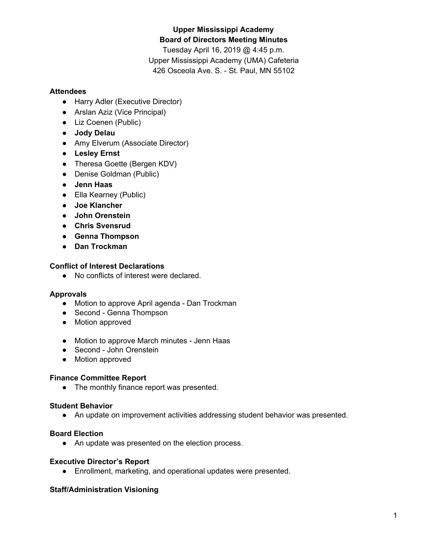# **Upper Mississippi Academy Board of Directors Meeting Minutes**

Tuesday April 16, 2019 @ 4:45 p.m. Upper Mississippi Academy (UMA) Cafeteria 426 Osceola Ave. S. - St. Paul, MN 55102

### **Attendees**

- Harry Adler (Executive Director)
- Arslan Aziz (Vice Principal)
- Liz Coenen (Public)
- **● Jody Delau**
- Amy Elverum (Associate Director)
- **● Lesley Ernst**
- Theresa Goette (Bergen KDV)
- Denise Goldman (Public)
- **● Jenn Haas**
- Ella Kearney (Public)
- **● Joe Klancher**
- **● John Orenstein**
- **● Chris Svensrud**
- **● Genna Thompson**
- **● Dan Trockman**

### **Conflict of Interest Declarations**

● No conflicts of interest were declared.

## **Approvals**

- Motion to approve April agenda Dan Trockman
- Second Genna Thompson
- Motion approved
- Motion to approve March minutes Jenn Haas
- Second John Orenstein
- Motion approved

## **Finance Committee Report**

• The monthly finance report was presented.

## **Student Behavior**

● An update on improvement activities addressing student behavior was presented.

#### **Board Election**

● An update was presented on the election process.

#### **Executive Director's Report**

● Enrollment, marketing, and operational updates were presented.

#### **Staff/Administration Visioning**